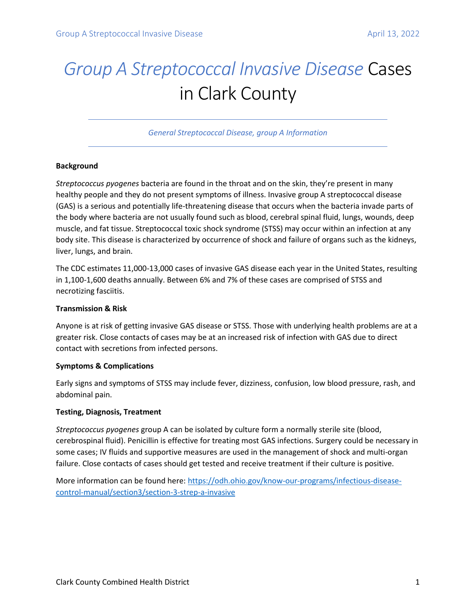# *Group A Streptococcal Invasive Disease* Cases in Clark County

*General Streptococcal Disease, group A Information*

### **Background**

*Streptococcus pyogenes* bacteria are found in the throat and on the skin, they're present in many healthy people and they do not present symptoms of illness. Invasive group A streptococcal disease (GAS) is a serious and potentially life-threatening disease that occurs when the bacteria invade parts of the body where bacteria are not usually found such as blood, cerebral spinal fluid, lungs, wounds, deep muscle, and fat tissue. Streptococcal toxic shock syndrome (STSS) may occur within an infection at any body site. This disease is characterized by occurrence of shock and failure of organs such as the kidneys, liver, lungs, and brain.

The CDC estimates 11,000-13,000 cases of invasive GAS disease each year in the United States, resulting in 1,100-1,600 deaths annually. Between 6% and 7% of these cases are comprised of STSS and necrotizing fasciitis.

#### **Transmission & Risk**

Anyone is at risk of getting invasive GAS disease or STSS. Those with underlying health problems are at a greater risk. Close contacts of cases may be at an increased risk of infection with GAS due to direct contact with secretions from infected persons.

#### **Symptoms & Complications**

Early signs and symptoms of STSS may include fever, dizziness, confusion, low blood pressure, rash, and abdominal pain.

## **Testing, Diagnosis, Treatment**

*Streptococcus pyogenes* group A can be isolated by culture form a normally sterile site (blood, cerebrospinal fluid). Penicillin is effective for treating most GAS infections. Surgery could be necessary in some cases; IV fluids and supportive measures are used in the management of shock and multi-organ failure. Close contacts of cases should get tested and receive treatment if their culture is positive.

More information can be found here[: https://odh.ohio.gov/know-our-programs/infectious-disease](https://odh.ohio.gov/know-our-programs/infectious-disease-control-manual/section3/section-3-strep-a-invasive)[control-manual/section3/section-3-strep-a-invasive](https://odh.ohio.gov/know-our-programs/infectious-disease-control-manual/section3/section-3-strep-a-invasive)